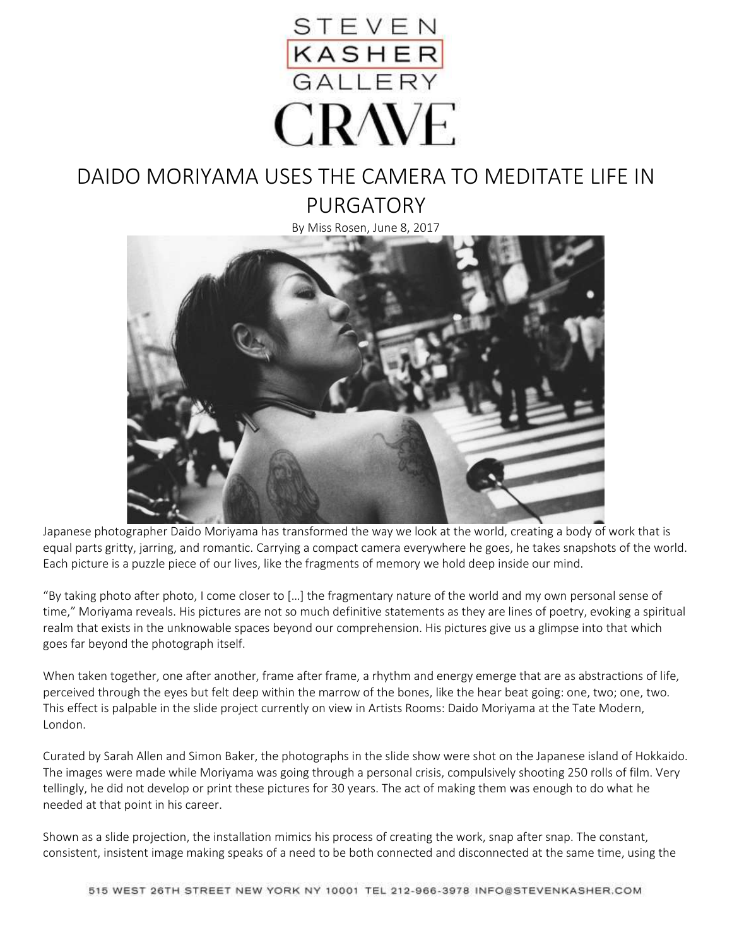

## DAIDO MORIYAMA USES THE CAMERA TO MEDITATE LIFE IN PURGATORY

By Miss Rosen, June 8, 2017



Japanese photographer Daido Moriyama has transformed the way we look at the world, creating a body of work that is equal parts gritty, jarring, and romantic. Carrying a compact camera everywhere he goes, he takes snapshots of the world. Each picture is a puzzle piece of our lives, like the fragments of memory we hold deep inside our mind.

"By taking photo after photo, I come closer to […] the fragmentary nature of the world and my own personal sense of time," Moriyama reveals. His pictures are not so much definitive statements as they are lines of poetry, evoking a spiritual realm that exists in the unknowable spaces beyond our comprehension. His pictures give us a glimpse into that which goes far beyond the photograph itself.

When taken together, one after another, frame after frame, a rhythm and energy emerge that are as abstractions of life, perceived through the eyes but felt deep within the marrow of the bones, like the hear beat going: one, two; one, two. This effect is palpable in the slide project currently on view in Artists Rooms: Daido Moriyama at the Tate Modern, London.

Curated by Sarah Allen and Simon Baker, the photographs in the slide show were shot on the Japanese island of Hokkaido. The images were made while Moriyama was going through a personal crisis, compulsively shooting 250 rolls of film. Very tellingly, he did not develop or print these pictures for 30 years. The act of making them was enough to do what he needed at that point in his career.

Shown as a slide projection, the installation mimics his process of creating the work, snap after snap. The constant, consistent, insistent image making speaks of a need to be both connected and disconnected at the same time, using the